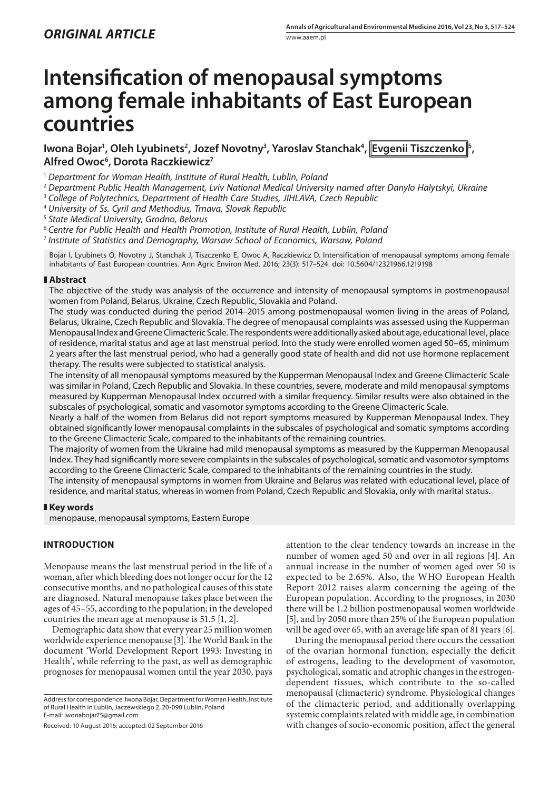# **Intensification of menopausal symptoms among female inhabitants of East European countries**

lwona Bojar<sup>ı</sup>, Oleh Lyubinets<sup>2</sup>, Jozef Novotny<sup>3</sup>, Yaroslav Stanchak<sup>4</sup>, |Evgenii Tiszczenko |<sup>5</sup>, **Alfred Owoc6 , Dorota Raczkiewicz7**

<sup>1</sup> *Department for Woman Health, Institute of Rural Health, Lublin, Poland*

- <sup>2</sup> *Department Public Health Management, Lviv National Medical University named after Danylo Halytskyi, Ukraine*
- <sup>3</sup> *College of Polytechnics, Department of Health Care Studies, JIHLAVA, Czech Republic*
- <sup>4</sup> *University of Ss. Cyril and Methodius, Trnava, Slovak Republic*

<sup>5</sup> *State Medical University, Grodno, Belorus*

<sup>6</sup> *Centre for Public Health and Health Promotion, Institute of Rural Health, Lublin, Poland*

<sup>7</sup> *Institute of Statistics and Demography, Warsaw School of Economics, Warsaw, Poland*

Bojar I, Lyubinets O, Novotny J, Stanchak J, Tiszczenko E, Owoc A, Raczkiewicz D. Intensification of menopausal symptoms among female inhabitants of East European countries. Ann Agric Environ Med. 2016; 23(3): 517–524. doi: 10.5604/12321966.1219198

## **Abstract**

The objective of the study was analysis of the occurrence and intensity of menopausal symptoms in postmenopausal women from Poland, Belarus, Ukraine, Czech Republic, Slovakia and Poland.

The study was conducted during the period 2014–2015 among postmenopausal women living in the areas of Poland, Belarus, Ukraine, Czech Republic and Slovakia. The degree of menopausal complaints was assessed using the Kupperman Menopausal Index and Greene Climacteric Scale. The respondents were additionally asked about age, educational level, place of residence, marital status and age at last menstrual period. Into the study were enrolled women aged 50–65, minimum 2 years after the last menstrual period, who had a generally good state of health and did not use hormone replacement therapy. The results were subjected to statistical analysis.

The intensity of all menopausal symptoms measured by the Kupperman Menopausal Index and Greene Climacteric Scale was similar in Poland, Czech Republic and Slovakia. In these countries, severe, moderate and mild menopausal symptoms measured by Kupperman Menopausal Index occurred with a similar frequency. Similar results were also obtained in the subscales of psychological, somatic and vasomotor symptoms according to the Greene Climacteric Scale.

Nearly a half of the women from Belarus did not report symptoms measured by Kupperman Menopausal Index. They obtained significantly lower menopausal complaints in the subscales of psychological and somatic symptoms according to the Greene Climacteric Scale, compared to the inhabitants of the remaining countries.

The majority of women from the Ukraine had mild menopausal symptoms as measured by the Kupperman Menopausal Index. They had significantly more severe complaints in the subscales of psychological, somatic and vasomotor symptoms according to the Greene Climacteric Scale, compared to the inhabitants of the remaining countries in the study.

The intensity of menopausal symptoms in women from Ukraine and Belarus was related with educational level, place of residence, and marital status, whereas in women from Poland, Czech Republic and Slovakia, only with marital status.

## **Key words**

menopause, menopausal symptoms, Eastern Europe

## **INTRODUCTION**

Menopause means the last menstrual period in the life of a woman, after which bleeding does not longer occur for the 12 consecutive months, and no pathological causes of this state are diagnosed. Natural menopause takes place between the ages of 45–55, according to the population; in the developed countries the mean age at menopause is 51.5 [1, 2].

Demographic data show that every year 25 million women worldwide experience menopause [3]. The World Bank in the document 'World Development Report 1993: Investing in Health', while referring to the past, as well as demographic prognoses for menopausal women until the year 2030, pays

Address for correspondence: Iwona Bojar, Department for Woman Health, Institute of Rural Health in Lublin, Jaczewskiego 2, 20-090 Lublin, Poland E-mail: iwonabojar75@gmail.com

Received: 10 August 2016; accepted: 02 September 2016

attention to the clear tendency towards an increase in the number of women aged 50 and over in all regions [4]. An annual increase in the number of women aged over 50 is expected to be 2.65%. Also, the WHO European Health Report 2012 raises alarm concerning the ageing of the European population. According to the prognoses, in 2030 there will be 1.2 billion postmenopausal women worldwide [5], and by 2050 more than 25% of the European population will be aged over 65, with an average life span of 81 years [6].

During the menopausal period there occurs the cessation of the ovarian hormonal function, especially the deficit of estrogens, leading to the development of vasomotor, psychological, somatic and atrophic changes in the estrogendependent tissues, which contribute to the so-called menopausal (climacteric) syndrome. Physiological changes of the climacteric period, and additionally overlapping systemic complaints related with middle age, in combination with changes of socio-economic position, affect the general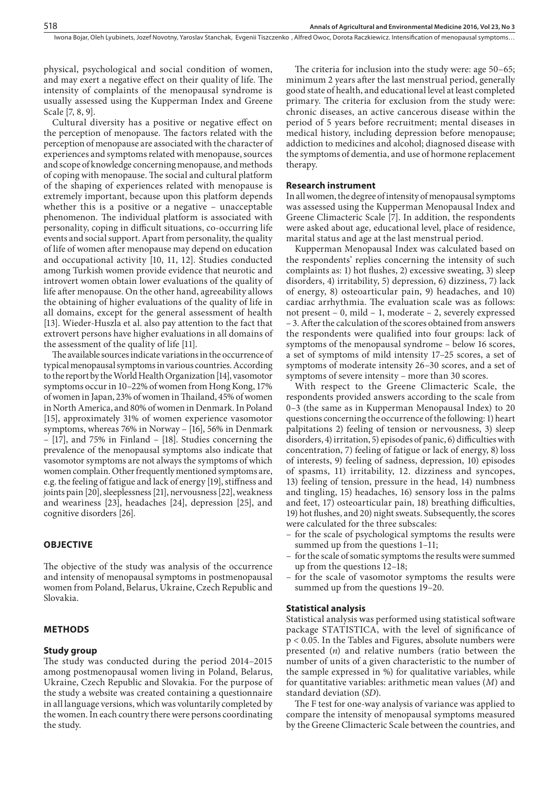physical, psychological and social condition of women, and may exert a negative effect on their quality of life. The intensity of complaints of the menopausal syndrome is usually assessed using the Kupperman Index and Greene Scale [7, 8, 9].

Cultural diversity has a positive or negative effect on the perception of menopause. The factors related with the perception of menopause are associated with the character of experiences and symptoms related with menopause, sources and scope of knowledge concerning menopause, and methods of coping with menopause. The social and cultural platform of the shaping of experiences related with menopause is extremely important, because upon this platform depends whether this is a positive or a negative – unacceptable phenomenon. The individual platform is associated with personality, coping in difficult situations, co-occurring life events and social support. Apart from personality, the quality of life of women after menopause may depend on education and occupational activity [10, 11, 12]. Studies conducted among Turkish women provide evidence that neurotic and introvert women obtain lower evaluations of the quality of life after menopause. On the other hand, agreeability allows the obtaining of higher evaluations of the quality of life in all domains, except for the general assessment of health [13]. Wieder-Huszla et al. also pay attention to the fact that extrovert persons have higher evaluations in all domains of the assessment of the quality of life [11].

The available sources indicate variations in the occurrence of typical menopausal symptoms in various countries. According to the report by the World Health Organization [14], vasomotor symptoms occur in 10–22% of women from Hong Kong, 17% of women in Japan, 23% of women in Thailand, 45% of women in North America, and 80% of women in Denmark. In Poland [15], approximately 31% of women experience vasomotor symptoms, whereas 76% in Norway – [16], 56% in Denmark – [17], and 75% in Finland – [18]. Studies concerning the prevalence of the menopausal symptoms also indicate that vasomotor symptoms are not always the symptoms of which women complain. Other frequently mentioned symptoms are, e.g. the feeling of fatigue and lack of energy [19], stiffness and joints pain [20], sleeplessness [21], nervousness [22], weakness and weariness [23], headaches [24], depression [25], and cognitive disorders [26].

## **OBJECTIVE**

The objective of the study was analysis of the occurrence and intensity of menopausal symptoms in postmenopausal women from Poland, Belarus, Ukraine, Czech Republic and Slovakia.

### **METHODS**

#### **Study group**

The study was conducted during the period 2014–2015 among postmenopausal women living in Poland, Belarus, Ukraine, Czech Republic and Slovakia. For the purpose of the study a website was created containing a questionnaire in all language versions, which was voluntarily completed by the women. In each country there were persons coordinating the study.

The criteria for inclusion into the study were: age 50–65; minimum 2 years after the last menstrual period, generally good state of health, and educational level at least completed primary. The criteria for exclusion from the study were: chronic diseases, an active cancerous disease within the period of 5 years before recruitment; mental diseases in medical history, including depression before menopause; addiction to medicines and alcohol; diagnosed disease with the symptoms of dementia, and use of hormone replacement therapy.

#### **Research instrument**

In all women, the degree of intensity of menopausal symptoms was assessed using the Kupperman Menopausal Index and Greene Climacteric Scale [7]. In addition, the respondents were asked about age, educational level, place of residence, marital status and age at the last menstrual period.

Kupperman Menopausal Index was calculated based on the respondents' replies concerning the intensity of such complaints as: 1) hot flushes, 2) excessive sweating, 3) sleep disorders, 4) irritability, 5) depression, 6) dizziness, 7) lack of energy, 8) osteoarticular pain, 9) headaches, and 10) cardiac arrhythmia. The evaluation scale was as follows: not present – 0, mild – 1, moderate – 2, severely expressed – 3. After the calculation of the scores obtained from answers the respondents were qualified into four groups: lack of symptoms of the menopausal syndrome – below 16 scores, a set of symptoms of mild intensity 17–25 scores, a set of symptoms of moderate intensity 26–30 scores, and a set of symptoms of severe intensity – more than 30 scores.

With respect to the Greene Climacteric Scale, the respondents provided answers according to the scale from 0–3 (the same as in Kupperman Menopausal Index) to 20 questions concerning the occurrence of the following: 1) heart palpitations 2) feeling of tension or nervousness, 3) sleep disorders, 4) irritation, 5) episodes of panic, 6) difficulties with concentration, 7) feeling of fatigue or lack of energy, 8) loss of interests, 9) feeling of sadness, depression, 10) episodes of spasms, 11) irritability, 12. dizziness and syncopes, 13) feeling of tension, pressure in the head, 14) numbness and tingling, 15) headaches, 16) sensory loss in the palms and feet, 17) osteoarticular pain, 18) breathing difficulties, 19) hot flushes, and 20) night sweats. Subsequently, the scores were calculated for the three subscales:

- for the scale of psychological symptoms the results were summed up from the questions 1–11;
- for the scale of somatic symptoms the results were summed up from the questions 12–18;
- for the scale of vasomotor symptoms the results were summed up from the questions 19–20.

#### **Statistical analysis**

Statistical analysis was performed using statistical software package STATISTICA, with the level of significance of p < 0.05. In the Tables and Figures, absolute numbers were presented (*n*) and relative numbers (ratio between the number of units of a given characteristic to the number of the sample expressed in %) for qualitative variables, while for quantitative variables: arithmetic mean values (*M*) and standard deviation (*SD*).

The F test for one-way analysis of variance was applied to compare the intensity of menopausal symptoms measured by the Greene Climacteric Scale between the countries, and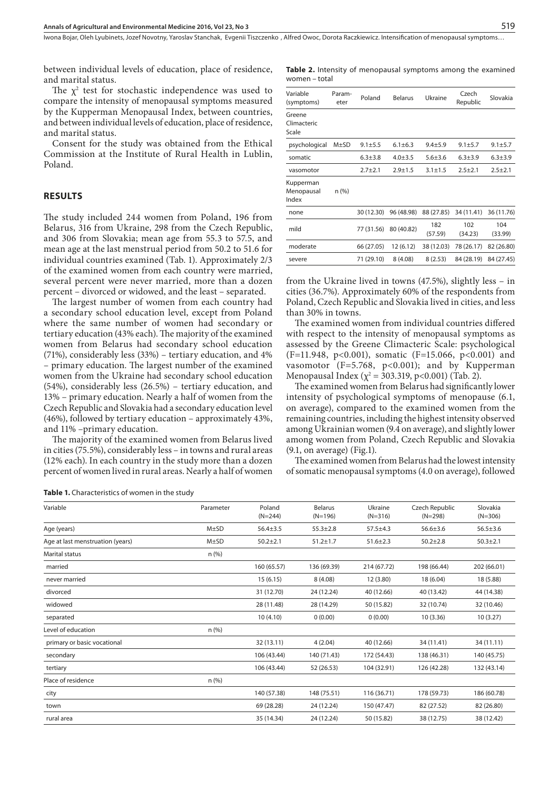between individual levels of education, place of residence, and marital status.

The  $\chi^2$  test for stochastic independence was used to compare the intensity of menopausal symptoms measured by the Kupperman Menopausal Index, between countries, and between individual levels of education, place of residence, and marital status.

Consent for the study was obtained from the Ethical Commission at the Institute of Rural Health in Lublin, Poland.

#### **RESULTS**

The study included 244 women from Poland, 196 from Belarus, 316 from Ukraine, 298 from the Czech Republic, and 306 from Slovakia; mean age from 55.3 to 57.5, and mean age at the last menstrual period from 50.2 to 51.6 for individual countries examined (Tab. 1). Approximately 2/3 of the examined women from each country were married, several percent were never married, more than a dozen percent – divorced or widowed, and the least – separated.

The largest number of women from each country had a secondary school education level, except from Poland where the same number of women had secondary or tertiary education (43% each). The majority of the examined women from Belarus had secondary school education (71%), considerably less (33%) – tertiary education, and 4% – primary education. The largest number of the examined women from the Ukraine had secondary school education (54%), considerably less (26.5%) – tertiary education, and 13% – primary education. Nearly a half of women from the Czech Republic and Slovakia had a secondary education level (46%), followed by tertiary education – approximately 43%, and 11% –primary education.

The majority of the examined women from Belarus lived in cities (75.5%), considerably less – in towns and rural areas (12% each). In each country in the study more than a dozen percent of women lived in rural areas. Nearly a half of women

**Table 2.** Intensity of menopausal symptoms among the examined women – total

| Variable<br>(symptoms)           | Param-<br>eter | Poland      | <b>Belarus</b> | Ukraine        | Czech<br>Republic | Slovakia       |
|----------------------------------|----------------|-------------|----------------|----------------|-------------------|----------------|
| Greene<br>Climacteric<br>Scale   |                |             |                |                |                   |                |
| psychological                    | $M\pm SD$      | $9.1 + 5.5$ | $6.1 \pm 6.3$  | $9.4 + 5.9$    | $9.1 + 5.7$       | $9.1 + 5.7$    |
| somatic                          |                | $6.3 + 3.8$ | $4.0 + 3.5$    | $5.6 + 3.6$    | $6.3 + 3.9$       | $6.3 + 3.9$    |
| vasomotor                        |                | $2.7 + 2.1$ | $2.9 + 1.5$    | $3.1 \pm 1.5$  | $2.5 + 2.1$       | $2.5 + 2.1$    |
| Kupperman<br>Menopausal<br>Index | n (%)          |             |                |                |                   |                |
| none                             |                | 30 (12.30)  | 96 (48.98)     | 88 (27.85)     | 34 (11.41)        | 36 (11.76)     |
| mild                             |                | 77 (31.56)  | 80 (40.82)     | 182<br>(57.59) | 102<br>(34.23)    | 104<br>(33.99) |
| moderate                         |                | 66 (27.05)  | 12(6.12)       | 38 (12.03)     | 78 (26.17)        | 82 (26.80)     |
| severe                           |                | 71 (29.10)  | 8(4.08)        | 8(2.53)        | 84 (28.19)        | 84 (27.45)     |
|                                  |                |             |                |                |                   |                |

from the Ukraine lived in towns (47.5%), slightly less – in cities (36.7%). Approximately 60% of the respondents from Poland, Czech Republic and Slovakia lived in cities, and less than 30% in towns.

The examined women from individual countries differed with respect to the intensity of menopausal symptoms as assessed by the Greene Climacteric Scale: psychological (F=11.948, p<0.001), somatic (F=15.066, p<0.001) and vasomotor ( $F=5.768$ ,  $p<0.001$ ); and by Kupperman Menopausal Index ( $\chi^2$  = 303.319, p<0.001) (Tab. 2).

The examined women from Belarus had significantly lower intensity of psychological symptoms of menopause (6.1, on average), compared to the examined women from the remaining countries, including the highest intensity observed among Ukrainian women (9.4 on average), and slightly lower among women from Poland, Czech Republic and Slovakia (9.1, on average) (Fig.1).

The examined women from Belarus had the lowest intensity of somatic menopausal symptoms (4.0 on average), followed

**Table 1.** Characteristics of women in the study

| Variable                         | Parameter | Poland<br>$(N=244)$ | <b>Belarus</b><br>$(N=196)$ | Ukraine<br>$(N=316)$ | Czech Republic<br>$(N=298)$ | Slovakia<br>$(N=306)$ |
|----------------------------------|-----------|---------------------|-----------------------------|----------------------|-----------------------------|-----------------------|
| Age (years)                      | $M\pm SD$ | $56.4 \pm 3.5$      | $55.3 \pm 2.8$              | $57.5 \pm 4.3$       | $56.6 \pm 3.6$              | $56.5 \pm 3.6$        |
| Age at last menstruation (years) | $M\pm SD$ | $50.2 \pm 2.1$      | $51.2 \pm 1.7$              | $51.6 \pm 2.3$       | $50.2 + 2.8$                | $50.3 \pm 2.1$        |
| <b>Marital status</b>            | $n$ (%)   |                     |                             |                      |                             |                       |
| married                          |           | 160 (65.57)         | 136 (69.39)                 | 214 (67.72)          | 198 (66.44)                 | 202 (66.01)           |
| never married                    |           | 15(6.15)            | 8(4.08)                     | 12 (3.80)            | 18 (6.04)                   | 18 (5.88)             |
| divorced                         |           | 31 (12.70)          | 24 (12.24)                  | 40 (12.66)           | 40 (13.42)                  | 44 (14.38)            |
| widowed                          |           | 28 (11.48)          | 28 (14.29)                  | 50 (15.82)           | 32 (10.74)                  | 32 (10.46)            |
| separated                        |           | 10(4.10)            | 0(0.00)                     | 0(0.00)              | 10(3.36)                    | 10(3.27)              |
| Level of education               | n (%)     |                     |                             |                      |                             |                       |
| primary or basic vocational      |           | 32 (13.11)          | 4(2.04)                     | 40 (12.66)           | 34 (11.41)                  | 34 (11.11)            |
| secondary                        |           | 106 (43.44)         | 140 (71.43)                 | 172 (54.43)          | 138 (46.31)                 | 140 (45.75)           |
| tertiary                         |           | 106 (43.44)         | 52 (26.53)                  | 104 (32.91)          | 126 (42.28)                 | 132 (43.14)           |
| Place of residence               | n (%)     |                     |                             |                      |                             |                       |
| city                             |           | 140 (57.38)         | 148 (75.51)                 | 116 (36.71)          | 178 (59.73)                 | 186 (60.78)           |
| town                             |           | 69 (28.28)          | 24 (12.24)                  | 150 (47.47)          | 82 (27.52)                  | 82 (26.80)            |
| rural area                       |           | 35 (14.34)          | 24 (12.24)                  | 50 (15.82)           | 38 (12.75)                  | 38 (12.42)            |
|                                  |           |                     |                             |                      |                             |                       |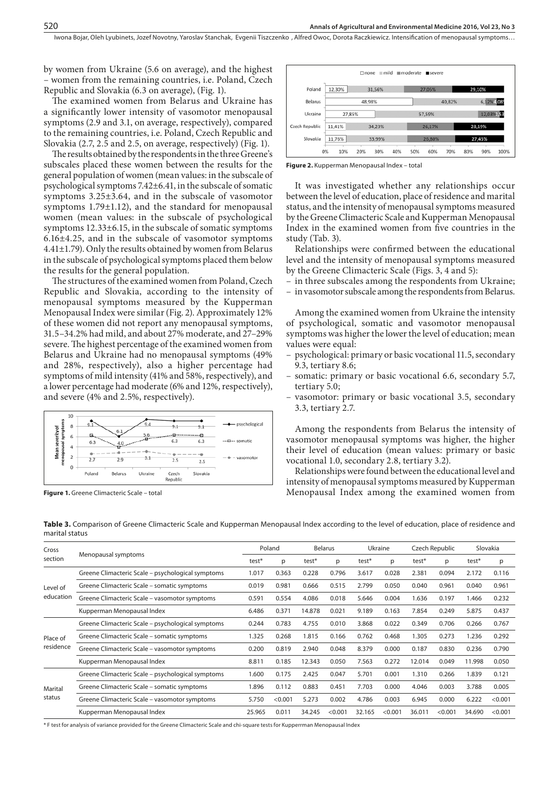by women from Ukraine (5.6 on average), and the highest – women from the remaining countries, i.e. Poland, Czech Republic and Slovakia (6.3 on average), (Fig. 1).

The examined women from Belarus and Ukraine has a significantly lower intensity of vasomotor menopausal symptoms (2.9 and 3.1, on average, respectively), compared to the remaining countries, i.e. Poland, Czech Republic and Slovakia (2.7, 2.5 and 2.5, on average, respectively) (Fig. 1).

The results obtained by the respondents in the three Greene's subscales placed these women between the results for the general population of women (mean values: in the subscale of psychological symptoms 7.42±6.41, in the subscale of somatic symptoms 3.25±3.64, and in the subscale of vasomotor symptoms 1.79±1.12), and the standard for menopausal women (mean values: in the subscale of psychological symptoms 12.33±6.15, in the subscale of somatic symptoms 6.16±4.25, and in the subscale of vasomotor symptoms 4.41±1.79). Only the results obtained by women from Belarus in the subscale of psychological symptoms placed them below the results for the general population.

The structures of the examined women from Poland, Czech Republic and Slovakia, according to the intensity of menopausal symptoms measured by the Kupperman Menopausal Index were similar (Fig. 2). Approximately 12% of these women did not report any menopausal symptoms, 31.5–34.2% had mild, and about 27% moderate, and 27–29% severe. The highest percentage of the examined women from Belarus and Ukraine had no menopausal symptoms (49% and 28%, respectively), also a higher percentage had symptoms of mild intensity (41% and 58%, respectively), and a lower percentage had moderate (6% and 12%, respectively), and severe (4% and 2.5%, respectively).



**Figure 1.** Greene Climacteric Scale – total



**Figure 2.** Kupperman Menopausal Index – total

It was investigated whether any relationships occur between the level of education, place of residence and marital status, and the intensity of menopausal symptoms measured by the Greene Climacteric Scale and Kupperman Menopausal Index in the examined women from five countries in the study (Tab. 3).

Relationships were confirmed between the educational level and the intensity of menopausal symptoms measured by the Greene Climacteric Scale (Figs. 3, 4 and 5):

– in three subscales among the respondents from Ukraine;

– in vasomotor subscale among the respondents from Belarus.

Among the examined women from Ukraine the intensity of psychological, somatic and vasomotor menopausal symptoms was higher the lower the level of education; mean values were equal:

- psychological: primary or basic vocational 11.5, secondary 9.3, tertiary 8.6;
- somatic: primary or basic vocational 6.6, secondary 5.7, tertiary 5.0;
- vasomotor: primary or basic vocational 3.5, secondary 3.3, tertiary 2.7.

Among the respondents from Belarus the intensity of vasomotor menopausal symptoms was higher, the higher their level of education (mean values: primary or basic vocational 1.0, secondary 2.8, tertiary 3.2).

Relationships were found between the educational level and intensity of menopausal symptoms measured by Kupperman Menopausal Index among the examined women from

| Cross     | Menopausal symptoms                               |        | Poland  |        | <b>Belarus</b> |        | Ukraine |        | Czech Republic |        | Slovakia |  |
|-----------|---------------------------------------------------|--------|---------|--------|----------------|--------|---------|--------|----------------|--------|----------|--|
| section   |                                                   |        | p       | test*  | D              | test*  | p       | test*  | р              | test*  | p        |  |
|           | Greene Climacteric Scale - psychological symptoms | 1.017  | 0.363   | 0.228  | 0.796          | 3.617  | 0.028   | 2.381  | 0.094          | 2.172  | 0.116    |  |
| Level of  | Greene Climacteric Scale – somatic symptoms       | 0.019  | 0.981   | 0.666  | 0.515          | 2.799  | 0.050   | 0.040  | 0.961          | 0.040  | 0.961    |  |
| education | Greene Climacteric Scale - vasomotor symptoms     | 0.591  | 0.554   | 4.086  | 0.018          | 5.646  | 0.004   | 1.636  | 0.197          | 1.466  | 0.232    |  |
|           | Kupperman Menopausal Index                        | 6.486  | 0.371   | 14.878 | 0.021          | 9.189  | 0.163   | 7.854  | 0.249          | 5.875  | 0.437    |  |
|           | Greene Climacteric Scale – psychological symptoms | 0.244  | 0.783   | 4.755  | 0.010          | 3.868  | 0.022   | 0.349  | 0.706          | 0.266  | 0.767    |  |
| Place of  | Greene Climacteric Scale – somatic symptoms       | 1.325  | 0.268   | 1.815  | 0.166          | 0.762  | 0.468   | 1.305  | 0.273          | 1.236  | 0.292    |  |
| residence | Greene Climacteric Scale – vasomotor symptoms     | 0.200  | 0.819   | 2.940  | 0.048          | 8.379  | 0.000   | 0.187  | 0.830          | 0.236  | 0.790    |  |
|           | Kupperman Menopausal Index                        | 8.811  | 0.185   | 12.343 | 0.050          | 7.563  | 0.272   | 12.014 | 0.049          | 11.998 | 0.050    |  |
| Marital   | Greene Climacteric Scale – psychological symptoms | 1.600  | 0.175   | 2.425  | 0.047          | 5.701  | 0.001   | 1.310  | 0.266          | 1.839  | 0.121    |  |
|           | Greene Climacteric Scale – somatic symptoms       | 1.896  | 0.112   | 0.883  | 0.451          | 7.703  | 0.000   | 4.046  | 0.003          | 3.788  | 0.005    |  |
| status    | Greene Climacteric Scale - vasomotor symptoms     | 5.750  | < 0.001 | 5.273  | 0.002          | 4.786  | 0.003   | 6.945  | 0.000          | 6.222  | < 0.001  |  |
|           | Kupperman Menopausal Index                        | 25.965 | 0.011   | 34.245 | < 0.001        | 32.165 | < 0.001 | 36.011 | < 0.001        | 34.690 | < 0.001  |  |

**Table 3.** Comparison of Greene Climacteric Scale and Kupperman Menopausal Index according to the level of education, place of residence and marital status

\* F test for analysis of variance provided for the Greene Climacteric Scale and chi-square tests for Kupperrman Menopausal Index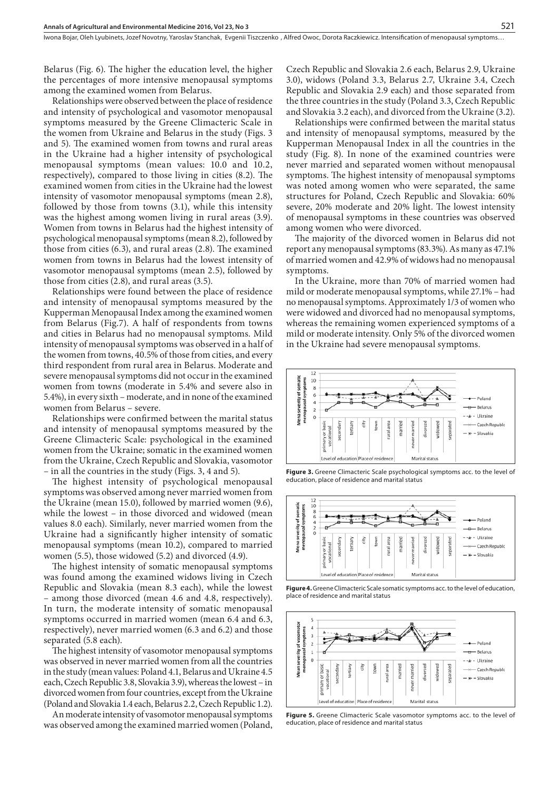Belarus (Fig. 6). The higher the education level, the higher the percentages of more intensive menopausal symptoms among the examined women from Belarus.

Relationships were observed between the place of residence and intensity of psychological and vasomotor menopausal symptoms measured by the Greene Climacteric Scale in the women from Ukraine and Belarus in the study (Figs. 3 and 5). The examined women from towns and rural areas in the Ukraine had a higher intensity of psychological menopausal symptoms (mean values: 10.0 and 10.2, respectively), compared to those living in cities (8.2). The examined women from cities in the Ukraine had the lowest intensity of vasomotor menopausal symptoms (mean 2.8), followed by those from towns (3.1), while this intensity was the highest among women living in rural areas (3.9). Women from towns in Belarus had the highest intensity of psychological menopausal symptoms (mean 8.2), followed by those from cities (6.3), and rural areas (2.8). The examined women from towns in Belarus had the lowest intensity of vasomotor menopausal symptoms (mean 2.5), followed by those from cities (2.8), and rural areas (3.5).

Relationships were found between the place of residence and intensity of menopausal symptoms measured by the Kupperman Menopausal Index among the examined women from Belarus (Fig.7). A half of respondents from towns and cities in Belarus had no menopausal symptoms. Mild intensity of menopausal symptoms was observed in a half of the women from towns, 40.5% of those from cities, and every third respondent from rural area in Belarus. Moderate and severe menopausal symptoms did not occur in the examined women from towns (moderate in 5.4% and severe also in 5.4%), in every sixth – moderate, and in none of the examined women from Belarus – severe.

Relationships were confirmed between the marital status and intensity of menopausal symptoms measured by the Greene Climacteric Scale: psychological in the examined women from the Ukraine; somatic in the examined women from the Ukraine, Czech Republic and Slovakia, vasomotor – in all the countries in the study (Figs. 3, 4 and 5).

The highest intensity of psychological menopausal symptoms was observed among never married women from the Ukraine (mean 15.0), followed by married women (9.6), while the lowest – in those divorced and widowed (mean values 8.0 each). Similarly, never married women from the Ukraine had a significantly higher intensity of somatic menopausal symptoms (mean 10.2), compared to married women (5.5), those widowed (5.2) and divorced (4.9).

The highest intensity of somatic menopausal symptoms was found among the examined widows living in Czech Republic and Slovakia (mean 8.3 each), while the lowest – among those divorced (mean 4.6 and 4.8, respectively). In turn, the moderate intensity of somatic menopausal symptoms occurred in married women (mean 6.4 and 6.3, respectively), never married women (6.3 and 6.2) and those separated (5.8 each).

The highest intensity of vasomotor menopausal symptoms was observed in never married women from all the countries in the study (mean values: Poland 4.1, Belarus and Ukraine 4.5 each, Czech Republic 3.8, Slovakia 3.9), whereas the lowest – in divorced women from four countries, except from the Ukraine (Poland and Slovakia 1.4 each, Belarus 2.2, Czech Republic 1.2).

An moderate intensity of vasomotor menopausal symptoms was observed among the examined married women (Poland, Czech Republic and Slovakia 2.6 each, Belarus 2.9, Ukraine 3.0), widows (Poland 3.3, Belarus 2.7, Ukraine 3.4, Czech Republic and Slovakia 2.9 each) and those separated from the three countries in the study (Poland 3.3, Czech Republic and Slovakia 3.2 each), and divorced from the Ukraine (3.2).

Relationships were confirmed between the marital status and intensity of menopausal symptoms, measured by the Kupperman Menopausal Index in all the countries in the study (Fig. 8). In none of the examined countries were never married and separated women without menopausal symptoms. The highest intensity of menopausal symptoms was noted among women who were separated, the same structures for Poland, Czech Republic and Slovakia: 60% severe, 20% moderate and 20% light. The lowest intensity of menopausal symptoms in these countries was observed among women who were divorced.

The majority of the divorced women in Belarus did not report any menopausal symptoms (83.3%). As many as 47.1% of married women and 42.9% of widows had no menopausal symptoms.

In the Ukraine, more than 70% of married women had mild or moderate menopausal symptoms, while 27.1% – had no menopausal symptoms. Approximately 1/3 of women who were widowed and divorced had no menopausal symptoms, whereas the remaining women experienced symptoms of a mild or moderate intensity. Only 5% of the divorced women in the Ukraine had severe menopausal symptoms.



**Figure 3.** Greene Climacteric Scale psychological symptoms acc. to the level of education, place of residence and marital status



**Figure 4.** Greene Climacteric Scale somatic symptoms acc. to the level of education, place of residence and marital status



**Figure 5.** Greene Climacteric Scale vasomotor symptoms acc. to the level of education, place of residence and marital status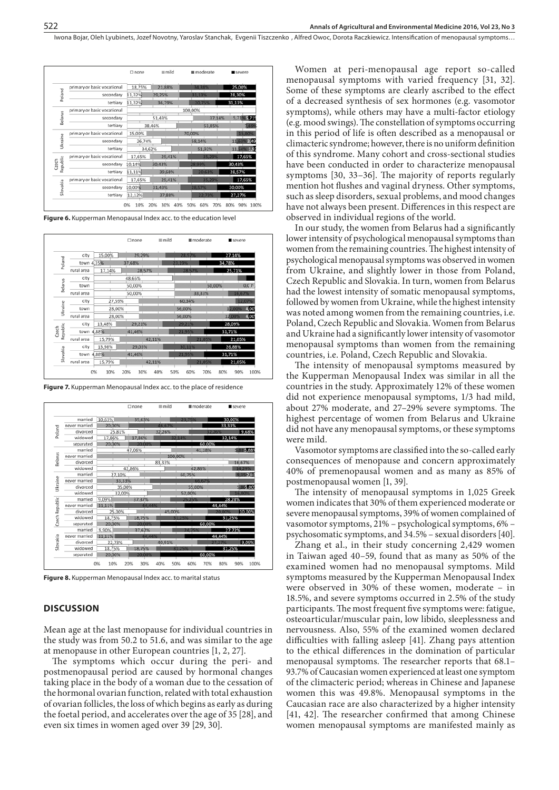|                   |                             | $\Box$ none | mild              | moderate          | severe             |
|-------------------|-----------------------------|-------------|-------------------|-------------------|--------------------|
| Poland            | primary or basic vocational | 18,75%      | 21,88%            | 34,38%            | 25,00%             |
|                   | secondary                   | 11,32%      | 29,25%            | 31,13%            | 28,30%             |
|                   | tertiary                    | 11,32%      | 36,79%            | 20.75%            | 31,13%             |
|                   | primary or basic vocational |             |                   | 100,00%           |                    |
| Belarus           | secondary                   |             | 51,43%            | 37,14%            | 5,71% 5,71%        |
|                   | tertiary                    | 38,46%      |                   | 53,85%            | 7,699              |
|                   | primary or basic vocational | 15,00%      |                   | 70,00%            | 15,00%             |
| Ukraine           | secondary                   | 26,74%      |                   | 58,14%            | 11,63%3,49         |
|                   | tertiary                    | 34,62%      |                   | 51,92%            | 11,54% 1,9         |
|                   | primary or basic vocational | 17,65%      | 29,41%            | 35.29%            | 17,65%             |
| Republic<br>Czech | secondary                   | 10,14%      | 30,43%            | 28,99%            | 30,43%             |
|                   | tertiary                    | 11,11%      | 39,68%            | 20,63%            | 28,57%             |
|                   | primary or basic vocational | 17,65%      | 29,41%            | 35,29%            | 17,65%             |
| Slovakia          | secondary                   | 10.00%      | 31,43%            | 28,57%            | 30,00%             |
|                   | tertiary                    | 12,12%      | 37,88%            | 22,73%            | 27,27%             |
|                   |                             | 0%<br>10%   | 20%<br>30%<br>40% | 50%<br>60%<br>70% | 80%<br>90%<br>100% |

**Figure 6.** Kupperman Menopausal Index acc. to the education level

| Poland            | city       | 15,00% | 29,29% |        | 28,57% | 27,14% |        |
|-------------------|------------|--------|--------|--------|--------|--------|--------|
|                   | town 4,35% |        | 37,68% | 23.19% |        | 34,78% |        |
|                   | rural area | 17,14% | 28,57% |        | 28,57% | 25,71% |        |
|                   | city       |        | 48.65% |        |        |        |        |
| Belarus           | town       |        | 50,00% |        | 50,00% |        | 0,00   |
|                   | rural area |        | 50,00% |        | 33,33% |        | 16,67% |
|                   | city       | 27,59% |        | 60.34% |        |        | 12,07% |
| Ukraine           | town       | 28.00% |        | 56,00% |        | 12,00% | 4,00   |
|                   | rural area | 28,00% |        | 56,00% |        | 12,00% | 4,00   |
|                   | city       | 13,48% | 29,21% | 29.21% |        | 28,09% |        |
| Republic<br>Czech | town 4,88% |        | 41,46% | 21,95% |        | 31,71% |        |
|                   | rural area | 15,79% | 42,11% |        | 21,05% | 21,05% |        |
|                   | city       | 13.98% | 29.03% | 30,11% |        | 26,88% |        |
| Slovakia          | town       | 4,88%  | 41,46% | 21,95% |        | 31,71% |        |
|                   | rural area | 15,79% | 42,11% |        | 21,05% | 21,05% |        |

**Figure 7.** Kupperman Menopausal Index acc. to the place of residence



**Figure 8.** Kupperman Menopausal Index acc. to marital status

## **DISCUSSION**

Mean age at the last menopause for individual countries in the study was from 50.2 to 51.6, and was similar to the age at menopause in other European countries [1, 2, 27].

The symptoms which occur during the peri- and postmenopausal period are caused by hormonal changes taking place in the body of a woman due to the cessation of the hormonal ovarian function, related with total exhaustion of ovarian follicles, the loss of which begins as early as during the foetal period, and accelerates over the age of 35 [28], and even six times in women aged over 39 [29, 30].

Women at peri-menopausal age report so-called menopausal symptoms with varied frequency [31, 32]. Some of these symptoms are clearly ascribed to the effect of a decreased synthesis of sex hormones (e.g. vasomotor symptoms), while others may have a multi-factor etiology (e.g. mood swings). The constellation of symptoms occurring in this period of life is often described as a menopausal or climacteric syndrome; however, there is no uniform definition of this syndrome. Many cohort and cross-sectional studies have been conducted in order to characterize menopausal symptoms [30, 33–36]. The majority of reports regularly mention hot flushes and vaginal dryness. Other symptoms, such as sleep disorders, sexual problems, and mood changes have not always been present. Differences in this respect are observed in individual regions of the world.

In our study, the women from Belarus had a significantly lower intensity of psychological menopausal symptoms than women from the remaining countries. The highest intensity of psychological menopausal symptoms was observed in women from Ukraine, and slightly lower in those from Poland, Czech Republic and Slovakia. In turn, women from Belarus had the lowest intensity of somatic menopausal symptoms, followed by women from Ukraine, while the highest intensity was noted among women from the remaining countries, i.e. Poland, Czech Republic and Slovakia. Women from Belarus and Ukraine had a significantly lower intensity of vasomotor menopausal symptoms than women from the remaining countries, i.e. Poland, Czech Republic and Slovakia.

The intensity of menopausal symptoms measured by the Kupperman Menopausal Index was similar in all the countries in the study. Approximately 12% of these women did not experience menopausal symptoms, 1/3 had mild, about 27% moderate, and 27–29% severe symptoms. The highest percentage of women from Belarus and Ukraine did not have any menopausal symptoms, or these symptoms were mild.

Vasomotor symptoms are classified into the so-called early consequences of menopause and concern approximately 40% of premenopausal women and as many as 85% of postmenopausal women [1, 39].

The intensity of menopausal symptoms in 1,025 Greek women indicates that 30% of them experienced moderate or severe menopausal symptoms, 39% of women complained of vasomotor symptoms, 21% – psychological symptoms, 6% – psychosomatic symptoms, and 34.5% – sexual disorders [40].

Zhang et al., in their study concerning 2,429 women in Taiwan aged 40–59, found that as many as 50% of the examined women had no menopausal symptoms. Mild symptoms measured by the Kupperman Menopausal Index were observed in 30% of these women, moderate – in 18.5%, and severe symptoms occurred in 2.5% of the study participants. The most frequent five symptoms were: fatigue, osteoarticular/muscular pain, low libido, sleeplessness and nervousness. Also, 55% of the examined women declared difficulties with falling asleep [41]. Zhang pays attention to the ethical differences in the domination of particular menopausal symptoms. The researcher reports that 68.1– 93.7% of Caucasian women experienced at least one symptom of the climacteric period; whereas in Chinese and Japanese women this was 49.8%. Menopausal symptoms in the Caucasian race are also characterized by a higher intensity [41, 42]. The researcher confirmed that among Chinese women menopausal symptoms are manifested mainly as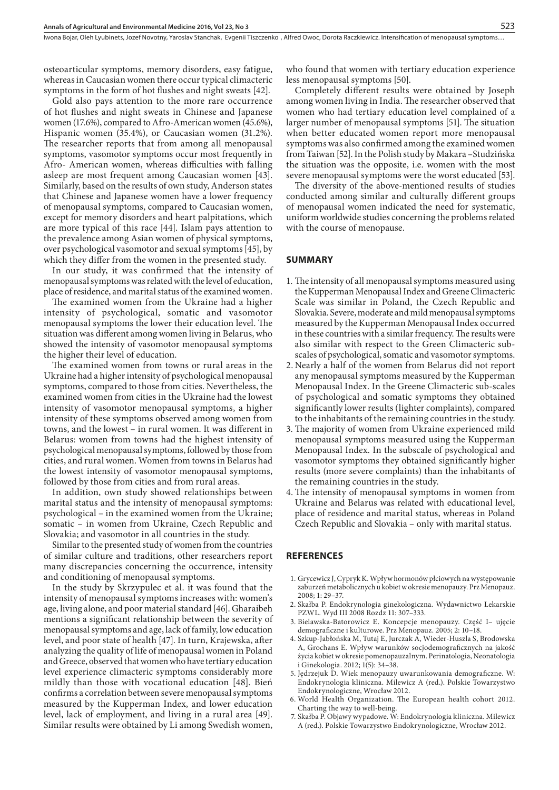osteoarticular symptoms, memory disorders, easy fatigue, whereas in Caucasian women there occur typical climacteric symptoms in the form of hot flushes and night sweats [42].

Gold also pays attention to the more rare occurrence of hot flushes and night sweats in Chinese and Japanese women (17.6%), compared to Afro-American women (45.6%), Hispanic women (35.4%), or Caucasian women (31.2%). The researcher reports that from among all menopausal symptoms, vasomotor symptoms occur most frequently in Afro- American women, whereas difficulties with falling asleep are most frequent among Caucasian women [43]. Similarly, based on the results of own study, Anderson states that Chinese and Japanese women have a lower frequency of menopausal symptoms, compared to Caucasian women, except for memory disorders and heart palpitations, which are more typical of this race [44]. Islam pays attention to the prevalence among Asian women of physical symptoms, over psychological vasomotor and sexual symptoms [45], by which they differ from the women in the presented study.

In our study, it was confirmed that the intensity of menopausal symptoms was related with the level of education, place of residence, and marital status of the examined women.

The examined women from the Ukraine had a higher intensity of psychological, somatic and vasomotor menopausal symptoms the lower their education level. The situation was different among women living in Belarus, who showed the intensity of vasomotor menopausal symptoms the higher their level of education.

The examined women from towns or rural areas in the Ukraine had a higher intensity of psychological menopausal symptoms, compared to those from cities. Nevertheless, the examined women from cities in the Ukraine had the lowest intensity of vasomotor menopausal symptoms, a higher intensity of these symptoms observed among women from towns, and the lowest – in rural women. It was different in Belarus: women from towns had the highest intensity of psychological menopausal symptoms, followed by those from cities, and rural women. Women from towns in Belarus had the lowest intensity of vasomotor menopausal symptoms, followed by those from cities and from rural areas.

In addition, own study showed relationships between marital status and the intensity of menopausal symptoms: psychological – in the examined women from the Ukraine; somatic – in women from Ukraine, Czech Republic and Slovakia; and vasomotor in all countries in the study.

Similar to the presented study of women from the countries of similar culture and traditions, other researchers report many discrepancies concerning the occurrence, intensity and conditioning of menopausal symptoms.

In the study by Skrzypulec et al. it was found that the intensity of menopausal symptoms increases with: women's age, living alone, and poor material standard [46]. Gharaibeh mentions a significant relationship between the severity of menopausal symptoms and age, lack of family, low education level, and poor state of health [47]. In turn, Krajewska, after analyzing the quality of life of menopausal women in Poland and Greece, observed that women who have tertiary education level experience climacteric symptoms considerably more mildly than those with vocational education [48]. Bień confirms a correlation between severe menopausal symptoms measured by the Kupperman Index, and lower education level, lack of employment, and living in a rural area [49]. Similar results were obtained by Li among Swedish women,

who found that women with tertiary education experience less menopausal symptoms [50].

Completely different results were obtained by Joseph among women living in India. The researcher observed that women who had tertiary education level complained of a larger number of menopausal symptoms [51]. The situation when better educated women report more menopausal symptoms was also confirmed among the examined women from Taiwan [52]. In the Polish study by Makara –Studzińska the situation was the opposite, i.e. women with the most severe menopausal symptoms were the worst educated [53].

The diversity of the above-mentioned results of studies conducted among similar and culturally different groups of menopausal women indicated the need for systematic, uniform worldwide studies concerning the problems related with the course of menopause.

#### **SUMMARY**

- 1. The intensity of all menopausal symptoms measured using the Kupperman Menopausal Index and Greene Climacteric Scale was similar in Poland, the Czech Republic and Slovakia. Severe, moderate and mild menopausal symptoms measured by the Kupperman Menopausal Index occurred in these countries with a similar frequency. The results were also similar with respect to the Green Climacteric subscales of psychological, somatic and vasomotor symptoms.
- 2. Nearly a half of the women from Belarus did not report any menopausal symptoms measured by the Kupperman Menopausal Index. In the Greene Climacteric sub-scales of psychological and somatic symptoms they obtained significantly lower results (lighter complaints), compared to the inhabitants of the remaining countries in the study.
- 3. The majority of women from Ukraine experienced mild menopausal symptoms measured using the Kupperman Menopausal Index. In the subscale of psychological and vasomotor symptoms they obtained significantly higher results (more severe complaints) than the inhabitants of the remaining countries in the study.
- 4.The intensity of menopausal symptoms in women from Ukraine and Belarus was related with educational level, place of residence and marital status, whereas in Poland Czech Republic and Slovakia – only with marital status.

## **REFERENCES**

- 1. Grycewicz J, Cypryk K. Wpływ hormonów płciowych na występowanie zaburzeń metabolicznych u kobiet w okresie menopauzy. Prz Menopauz. 2008; 1: 29–37.
- 2. Skałba P. Endokrynologia ginekologiczna. Wydawnictwo Lekarskie PZWL. Wyd III 2008 Rozdz 11: 307–333.
- 3. Bielawska-Batorowicz E. Koncepcje menopauzy. Część I– ujęcie demograficzne i kulturowe. Prz Menopauz. 2005; 2: 10–18.
- 4. Szkup-Jabłońska M, Tutaj E, Jurczak A, Wieder-Huszla S, Brodowska A, Grochans E. Wpływ warunków socjodemograficznych na jakość życia kobiet w okresie pomenopauzalnym. Perinatologia, Neonatologia i Ginekologia. 2012; 1(5): 34–38.
- 5. Jędrzejuk D. Wiek menopauzy uwarunkowania demograficzne. W: Endokrynologia kliniczna. Milewicz A (red.). Polskie Towarzystwo Endokrynologiczne, Wrocław 2012.
- 6. World Health Organization. The European health cohort 2012. Charting the way to well-being.
- 7. Skałba P. Objawy wypadowe. W: Endokrynologia kliniczna. Milewicz A (red.). Polskie Towarzystwo Endokrynologiczne, Wrocław 2012.